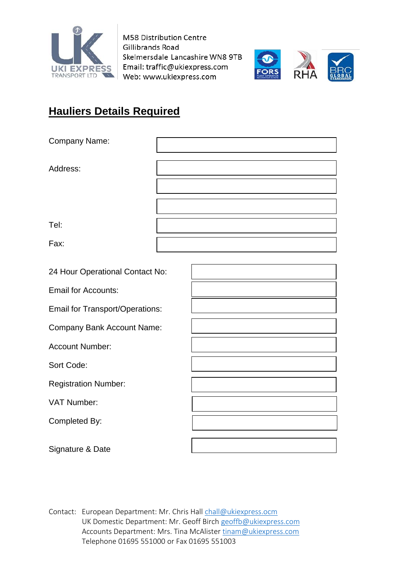

M58 Distribution Centre Gillibrands Road Skelmersdale Lancashire WN8 9TB Email: traffic@ukiexpress.com Web: www.ukiexpress.com



# **Hauliers Details Required**

| Company Name:                          |  |  |
|----------------------------------------|--|--|
| Address:                               |  |  |
|                                        |  |  |
| Tel:                                   |  |  |
| Fax:                                   |  |  |
| 24 Hour Operational Contact No:        |  |  |
| <b>Email for Accounts:</b>             |  |  |
| <b>Email for Transport/Operations:</b> |  |  |
| <b>Company Bank Account Name:</b>      |  |  |
| <b>Account Number:</b>                 |  |  |
| Sort Code:                             |  |  |
| <b>Registration Number:</b>            |  |  |
| VAT Number:                            |  |  |
| Completed By:                          |  |  |
| Signature & Date                       |  |  |

Contact: European Department: Mr. Chris Hall [chall@ukiexpress.ocm](mailto:chall@ukiexpress.ocm) UK Domestic Department: Mr. Geoff Birch [geoffb@ukiexpress.com](mailto:geoffb@ukiexpress.com) Accounts Department: Mrs. Tina McAliste[r tinam@ukiexpress.com](mailto:tinam@ukiexpress.com) Telephone 01695 551000 or Fax 01695 551003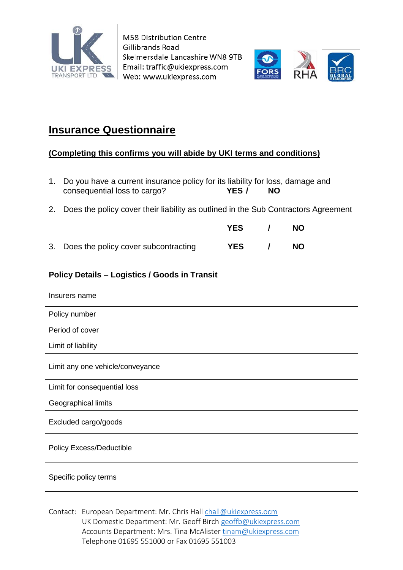

M58 Distribution Centre Gillibrands Road Skelmersdale Lancashire WN8 9TB Email: traffic@ukiexpress.com Web: www.ukiexpress.com



## **Insurance Questionnaire**

### **(Completing this confirms you will abide by UKI terms and conditions)**

- 1. Do you have a current insurance policy for its liability for loss, damage and consequential loss to cargo? **YES / NO**
- 2. Does the policy cover their liability as outlined in the Sub Contractors Agreement
- 3. Does the policy cover subcontracting **YES / NO**

**YES / NO**

### **Policy Details – Logistics / Goods in Transit**

| Insurers name                    |  |
|----------------------------------|--|
| Policy number                    |  |
| Period of cover                  |  |
| Limit of liability               |  |
| Limit any one vehicle/conveyance |  |
| Limit for consequential loss     |  |
| Geographical limits              |  |
| Excluded cargo/goods             |  |
| Policy Excess/Deductible         |  |
| Specific policy terms            |  |

Contact: European Department: Mr. Chris Hall [chall@ukiexpress.ocm](mailto:chall@ukiexpress.ocm) UK Domestic Department: Mr. Geoff Birch [geoffb@ukiexpress.com](mailto:geoffb@ukiexpress.com) Accounts Department: Mrs. Tina McAliste[r tinam@ukiexpress.com](mailto:tinam@ukiexpress.com) Telephone 01695 551000 or Fax 01695 551003